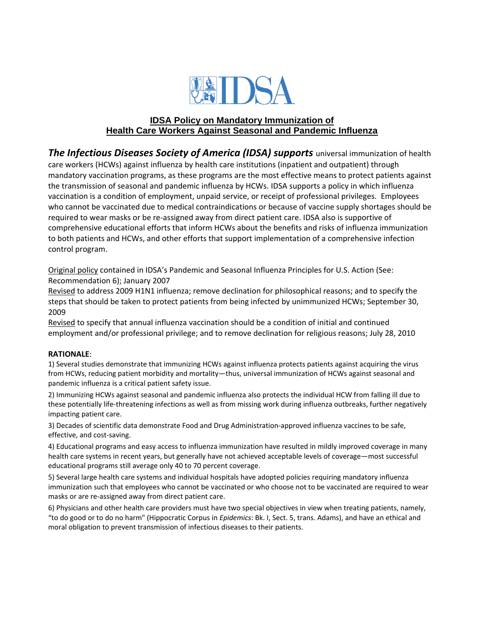

## **IDSA Policy on Mandatory Immunization of Health Care Workers Against Seasonal and Pandemic Influenza**

*The Infectious Diseases Society of America (IDSA) supports* universal immunization of health care workers (HCWs) against influenza by health care institutions (inpatient and outpatient) through mandatory vaccination programs, as these programs are the most effective means to protect patients against the transmission of seasonal and pandemic influenza by HCWs. IDSA supports a policy in which influenza vaccination is a condition of employment, unpaid service, or receipt of professional privileges. Employees who cannot be vaccinated due to medical contraindications or because of vaccine supply shortages should be required to wear masks or be re-assigned away from direct patient care. IDSA also is supportive of comprehensive educational efforts that inform HCWs about the benefits and risks of influenza immunization to both patients and HCWs, and other efforts that support implementation of a comprehensive infection control program.

Original policy contained in IDSA's Pandemic and Seasonal Influenza Principles for U.S. Action (See: Recommendation 6); January 2007

Revised to address 2009 H1N1 influenza; remove declination for philosophical reasons; and to specify the steps that should be taken to protect patients from being infected by unimmunized HCWs; September 30, 2009

Revised to specify that annual influenza vaccination should be a condition of initial and continued employment and/or professional privilege; and to remove declination for religious reasons; July 28, 2010

## **RATIONALE**:

1) Several studies demonstrate that immunizing HCWs against influenza protects patients against acquiring the virus from HCWs, reducing patient morbidity and mortality—thus, universal immunization of HCWs against seasonal and pandemic influenza is a critical patient safety issue.

2) Immunizing HCWs against seasonal and pandemic influenza also protects the individual HCW from falling ill due to these potentially life-threatening infections as well as from missing work during influenza outbreaks, further negatively impacting patient care.

3) Decades of scientific data demonstrate Food and Drug Administration-approved influenza vaccines to be safe, effective, and cost-saving.

4) Educational programs and easy access to influenza immunization have resulted in mildly improved coverage in many health care systems in recent years, but generally have not achieved acceptable levels of coverage—most successful educational programs still average only 40 to 70 percent coverage.

5) Several large health care systems and individual hospitals have adopted policies requiring mandatory influenza immunization such that employees who cannot be vaccinated or who choose not to be vaccinated are required to wear masks or are re-assigned away from direct patient care.

6) Physicians and other health care providers must have two special objectives in view when treating patients, namely, "to do good or to do no harm" (Hippocratic Corpus in *Epidemics*: Bk. I, Sect. 5, trans. Adams), and have an ethical and moral obligation to prevent transmission of infectious diseases to their patients.